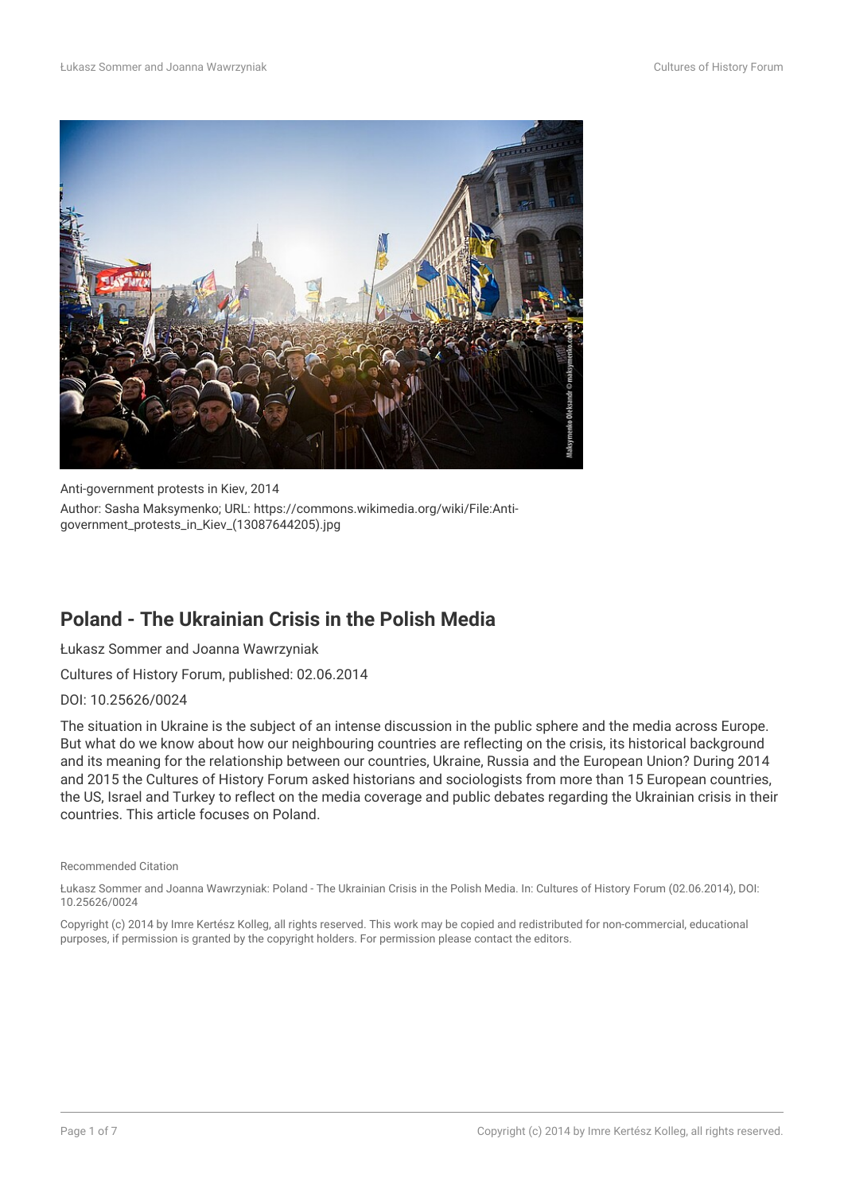

Anti-government protests in Kiev, 2014 Author: Sasha Maksymenko; URL: https://commons.wikimedia.org/wiki/File:Antigovernment\_protests\_in\_Kiev\_(13087644205).jpg

## **Poland - The Ukrainian Crisis in the Polish Media**

Łukasz Sommer and Joanna Wawrzyniak

Cultures of History Forum, published: 02.06.2014

DOI: 10.25626/0024

The situation in Ukraine is the subject of an intense discussion in the public sphere and the media across Europe. But what do we know about how our neighbouring countries are reflecting on the crisis, its historical background and its meaning for the relationship between our countries, Ukraine, Russia and the European Union? During 2014 and 2015 the Cultures of History Forum asked historians and sociologists from more than 15 European countries, the US, Israel and Turkey to reflect on the media coverage and public debates regarding the Ukrainian crisis in their countries. This article focuses on Poland.

#### Recommended Citation

Łukasz Sommer and Joanna Wawrzyniak: Poland - The Ukrainian Crisis in the Polish Media. In: Cultures of History Forum (02.06.2014), DOI: 10.25626/0024

Copyright (c) 2014 by Imre Kertész Kolleg, all rights reserved. This work may be copied and redistributed for non-commercial, educational purposes, if permission is granted by the copyright holders. For permission please contact the editors.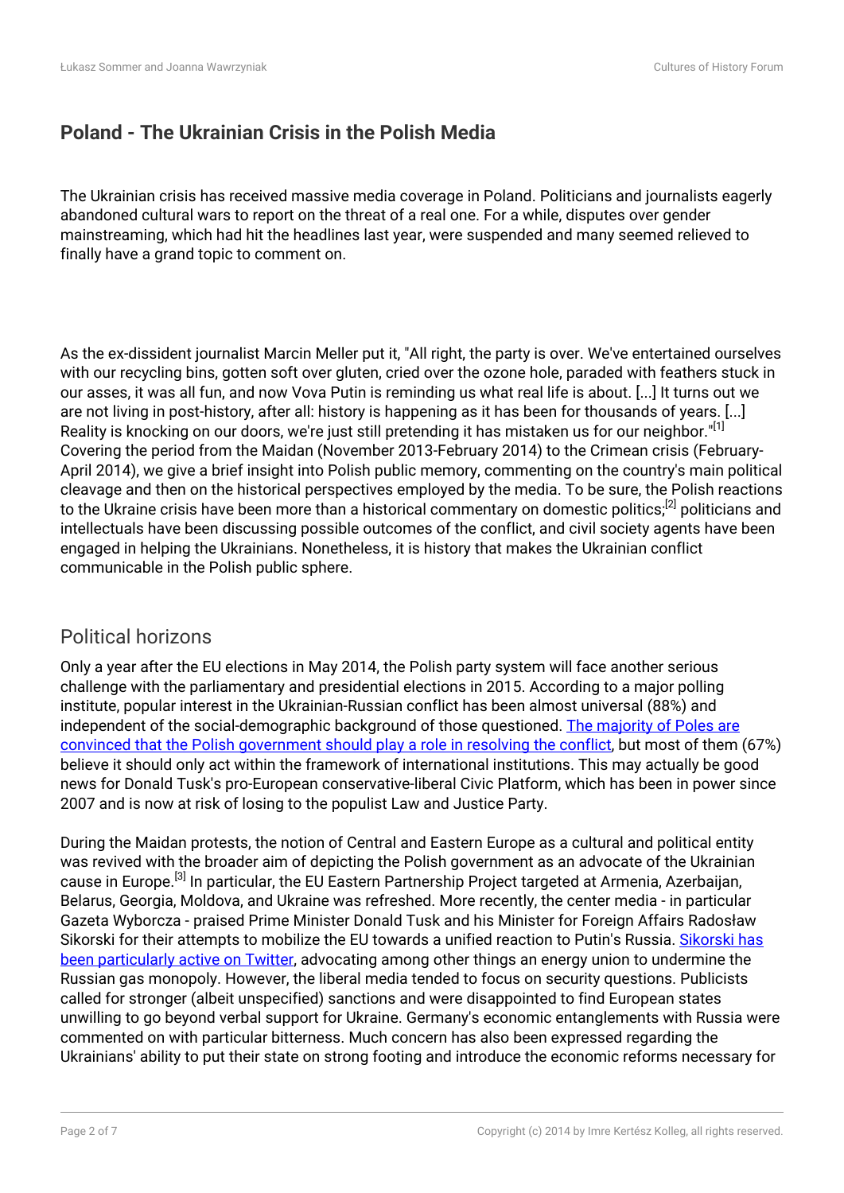# **Poland - The Ukrainian Crisis in the Polish Media**

The Ukrainian crisis has received massive media coverage in Poland. Politicians and journalists eagerly abandoned cultural wars to report on the threat of a real one. For a while, disputes over gender mainstreaming, which had hit the headlines last year, were suspended and many seemed relieved to finally have a grand topic to comment on.

As the ex-dissident journalist Marcin Meller put it, "All right, the party is over. We've entertained ourselves with our recycling bins, gotten soft over gluten, cried over the ozone hole, paraded with feathers stuck in our asses, it was all fun, and now Vova Putin is reminding us what real life is about. [...] It turns out we are not living in post-history, after all: history is happening as it has been for thousands of years. [...] Reality is knocking on our doors, we're just still pretending it has mistaken us for our neighbor."<sup>[1]</sup> Covering the period from the Maidan (November 2013-February 2014) to the Crimean crisis (February-April 2014), we give a brief insight into Polish public memory, commenting on the country's main political cleavage and then on the historical perspectives employed by the media. To be sure, the Polish reactions to the Ukraine crisis have been more than a historical commentary on domestic politics;<sup>[2]</sup> politicians and intellectuals have been discussing possible outcomes of the conflict, and civil society agents have been engaged in helping the Ukrainians. Nonetheless, it is history that makes the Ukrainian conflict communicable in the Polish public sphere.

## Political horizons

Only a year after the EU elections in May 2014, the Polish party system will face another serious challenge with the parliamentary and presidential elections in 2015. According to a major polling institute, popular interest in the Ukrainian-Russian conflict has been almost universal (88%) and independent of the social-demographic background of those questioned. [The majority of Poles are](http://www.cbos.pl/SPISKOM.POL/2014/K_035_14.PDF) [convinced that the Polish government should play a role in resolving the conflict](http://www.cbos.pl/SPISKOM.POL/2014/K_035_14.PDF), but most of them (67%) believe it should only act within the framework of international institutions. This may actually be good news for Donald Tusk's pro-European conservative-liberal Civic Platform, which has been in power since 2007 and is now at risk of losing to the populist Law and Justice Party.

During the Maidan protests, the notion of Central and Eastern Europe as a cultural and political entity was revived with the broader aim of depicting the Polish government as an advocate of the Ukrainian cause in Europe.[3] In particular, the EU Eastern Partnership Project targeted at Armenia, Azerbaijan, Belarus, Georgia, Moldova, and Ukraine was refreshed. More recently, the center media - in particular Gazeta Wyborcza - praised Prime Minister Donald Tusk and his Minister for Foreign Affairs Radosław Sikorski for their attempts to mobilize the EU towards a unified reaction to Putin's Russia. [Sikorski has](https://twitter.com/sikorskiradek) [been particularly active on Twitter](https://twitter.com/sikorskiradek), advocating among other things an energy union to undermine the Russian gas monopoly. However, the liberal media tended to focus on security questions. Publicists called for stronger (albeit unspecified) sanctions and were disappointed to find European states unwilling to go beyond verbal support for Ukraine. Germany's economic entanglements with Russia were commented on with particular bitterness. Much concern has also been expressed regarding the Ukrainians' ability to put their state on strong footing and introduce the economic reforms necessary for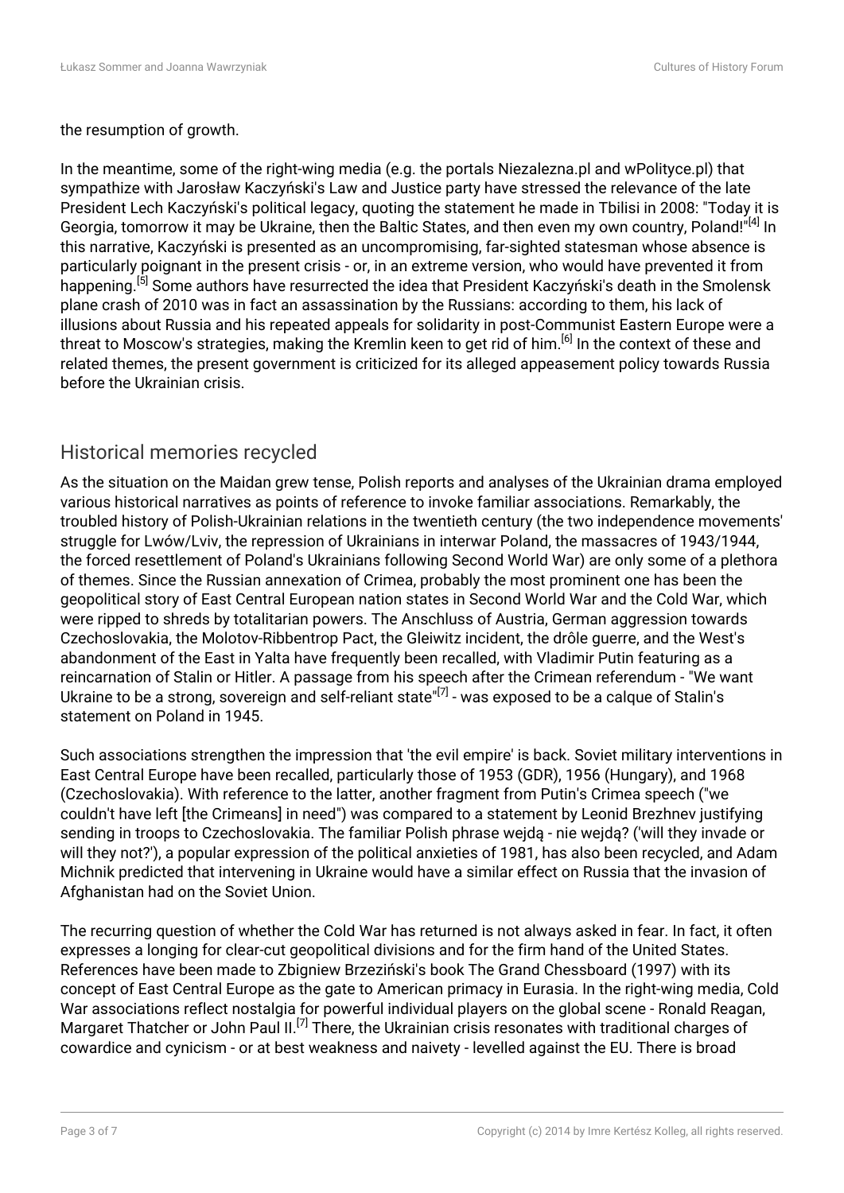the resumption of growth.

In the meantime, some of the right-wing media (e.g. the portals Niezalezna.pl and wPolityce.pl) that sympathize with Jarosław Kaczyński's Law and Justice party have stressed the relevance of the late President Lech Kaczyński's political legacy, quoting the statement he made in Tbilisi in 2008: "Today it is Georgia, tomorrow it may be Ukraine, then the Baltic States, and then even my own country, Poland!"[4] In this narrative, Kaczyński is presented as an uncompromising, far-sighted statesman whose absence is particularly poignant in the present crisis - or, in an extreme version, who would have prevented it from happening.[5] Some authors have resurrected the idea that President Kaczyński's death in the Smolensk plane crash of 2010 was in fact an assassination by the Russians: according to them, his lack of illusions about Russia and his repeated appeals for solidarity in post-Communist Eastern Europe were a threat to Moscow's strategies, making the Kremlin keen to get rid of him.<sup>[6]</sup> In the context of these and related themes, the present government is criticized for its alleged appeasement policy towards Russia before the Ukrainian crisis.

## Historical memories recycled

As the situation on the Maidan grew tense, Polish reports and analyses of the Ukrainian drama employed various historical narratives as points of reference to invoke familiar associations. Remarkably, the troubled history of Polish-Ukrainian relations in the twentieth century (the two independence movements' struggle for Lwów/Lviv, the repression of Ukrainians in interwar Poland, the massacres of 1943/1944, the forced resettlement of Poland's Ukrainians following Second World War) are only some of a plethora of themes. Since the Russian annexation of Crimea, probably the most prominent one has been the geopolitical story of East Central European nation states in Second World War and the Cold War, which were ripped to shreds by totalitarian powers. The Anschluss of Austria, German aggression towards Czechoslovakia, the Molotov-Ribbentrop Pact, the Gleiwitz incident, the drôle guerre, and the West's abandonment of the East in Yalta have frequently been recalled, with Vladimir Putin featuring as a reincarnation of Stalin or Hitler. A passage from his speech after the Crimean referendum - "We want Ukraine to be a strong, sovereign and self-reliant state"[7] - was exposed to be a calque of Stalin's statement on Poland in 1945.

Such associations strengthen the impression that 'the evil empire' is back. Soviet military interventions in East Central Europe have been recalled, particularly those of 1953 (GDR), 1956 (Hungary), and 1968 (Czechoslovakia). With reference to the latter, another fragment from Putin's Crimea speech ("we couldn't have left [the Crimeans] in need") was compared to a statement by Leonid Brezhnev justifying sending in troops to Czechoslovakia. The familiar Polish phrase wejdą - nie wejdą? ('will they invade or will they not?'), a popular expression of the political anxieties of 1981, has also been recycled, and Adam Michnik predicted that intervening in Ukraine would have a similar effect on Russia that the invasion of Afghanistan had on the Soviet Union.

The recurring question of whether the Cold War has returned is not always asked in fear. In fact, it often expresses a longing for clear-cut geopolitical divisions and for the firm hand of the United States. References have been made to Zbigniew Brzeziński's book The Grand Chessboard (1997) with its concept of East Central Europe as the gate to American primacy in Eurasia. In the right-wing media, Cold War associations reflect nostalgia for powerful individual players on the global scene - Ronald Reagan, Margaret Thatcher or John Paul II.<sup>[7]</sup> There, the Ukrainian crisis resonates with traditional charges of cowardice and cynicism - or at best weakness and naivety - levelled against the EU. There is broad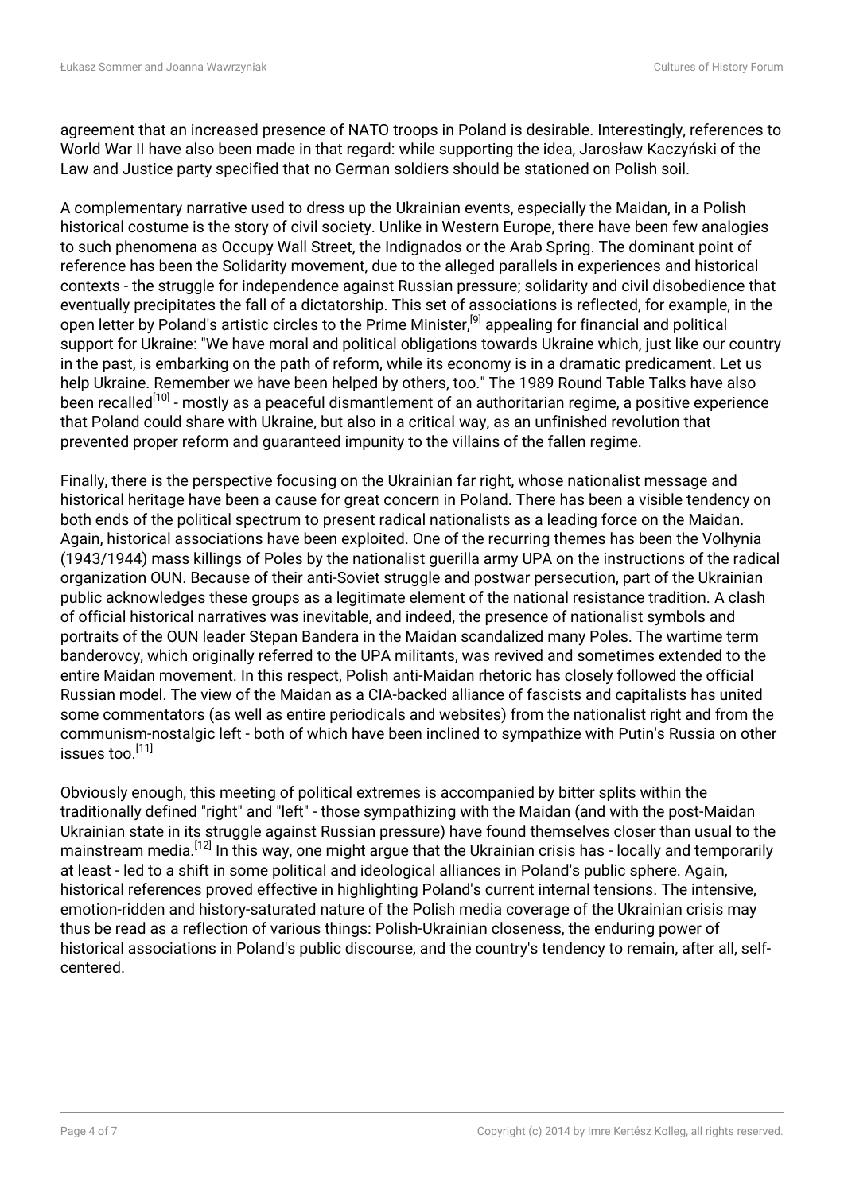agreement that an increased presence of NATO troops in Poland is desirable. Interestingly, references to World War II have also been made in that regard: while supporting the idea, Jarosław Kaczyński of the Law and Justice party specified that no German soldiers should be stationed on Polish soil.

A complementary narrative used to dress up the Ukrainian events, especially the Maidan, in a Polish historical costume is the story of civil society. Unlike in Western Europe, there have been few analogies to such phenomena as Occupy Wall Street, the Indignados or the Arab Spring. The dominant point of reference has been the Solidarity movement, due to the alleged parallels in experiences and historical contexts - the struggle for independence against Russian pressure; solidarity and civil disobedience that eventually precipitates the fall of a dictatorship. This set of associations is reflected, for example, in the open letter by Poland's artistic circles to the Prime Minister,<sup>[9]</sup> appealing for financial and political support for Ukraine: "We have moral and political obligations towards Ukraine which, just like our country in the past, is embarking on the path of reform, while its economy is in a dramatic predicament. Let us help Ukraine. Remember we have been helped by others, too." The 1989 Round Table Talks have also been recalled<sup>[10]</sup> - mostly as a peaceful dismantlement of an authoritarian regime, a positive experience that Poland could share with Ukraine, but also in a critical way, as an unfinished revolution that prevented proper reform and guaranteed impunity to the villains of the fallen regime.

Finally, there is the perspective focusing on the Ukrainian far right, whose nationalist message and historical heritage have been a cause for great concern in Poland. There has been a visible tendency on both ends of the political spectrum to present radical nationalists as a leading force on the Maidan. Again, historical associations have been exploited. One of the recurring themes has been the Volhynia (1943/1944) mass killings of Poles by the nationalist guerilla army UPA on the instructions of the radical organization OUN. Because of their anti-Soviet struggle and postwar persecution, part of the Ukrainian public acknowledges these groups as a legitimate element of the national resistance tradition. A clash of official historical narratives was inevitable, and indeed, the presence of nationalist symbols and portraits of the OUN leader Stepan Bandera in the Maidan scandalized many Poles. The wartime term banderovcy, which originally referred to the UPA militants, was revived and sometimes extended to the entire Maidan movement. In this respect, Polish anti-Maidan rhetoric has closely followed the official Russian model. The view of the Maidan as a CIA-backed alliance of fascists and capitalists has united some commentators (as well as entire periodicals and websites) from the nationalist right and from the communism-nostalgic left - both of which have been inclined to sympathize with Putin's Russia on other issues too.[11]

Obviously enough, this meeting of political extremes is accompanied by bitter splits within the traditionally defined "right" and "left" - those sympathizing with the Maidan (and with the post-Maidan Ukrainian state in its struggle against Russian pressure) have found themselves closer than usual to the mainstream media.[12] In this way, one might argue that the Ukrainian crisis has - locally and temporarily at least - led to a shift in some political and ideological alliances in Poland's public sphere. Again, historical references proved effective in highlighting Poland's current internal tensions. The intensive, emotion-ridden and history-saturated nature of the Polish media coverage of the Ukrainian crisis may thus be read as a reflection of various things: Polish-Ukrainian closeness, the enduring power of historical associations in Poland's public discourse, and the country's tendency to remain, after all, selfcentered.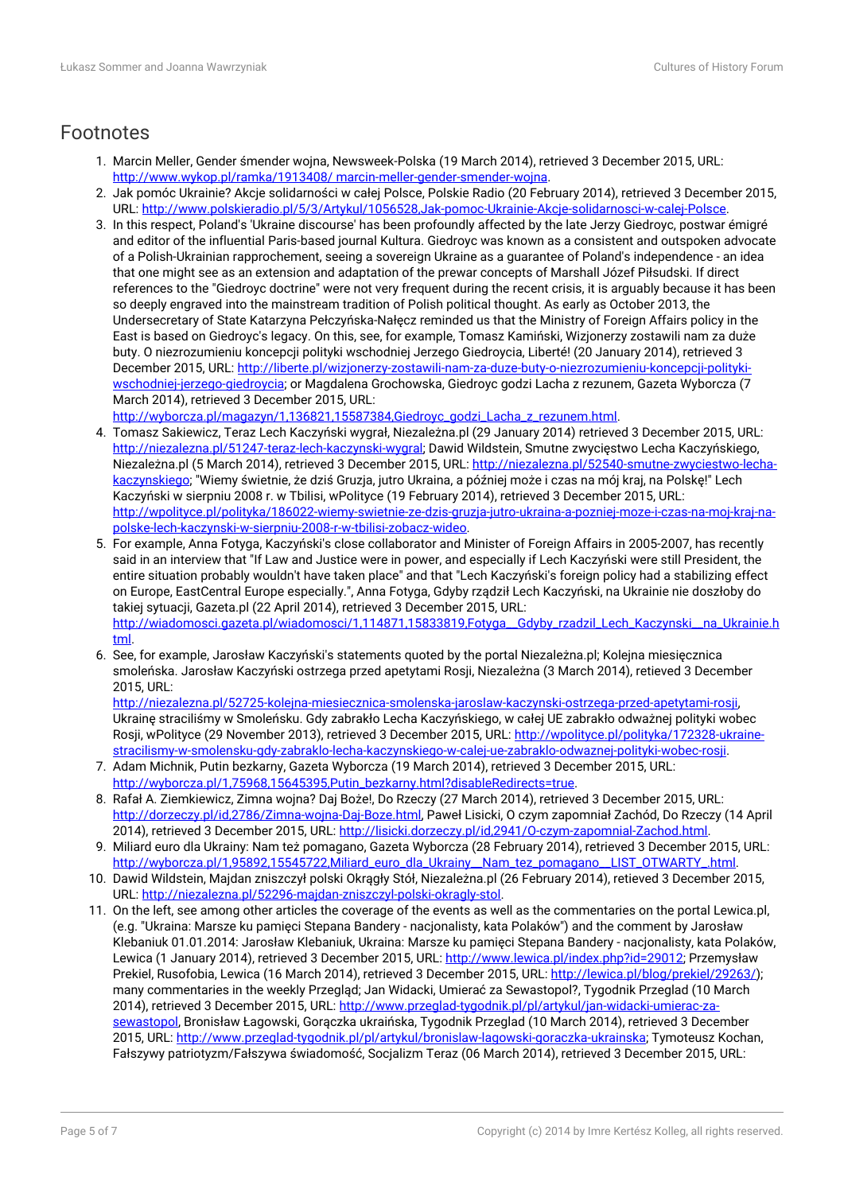#### Footnotes

- 1. Marcin Meller, Gender śmender wojna, Newsweek-Polska (19 March 2014), retrieved 3 December 2015, URL: [http://www.wykop.pl/ramka/1913408/ marcin-meller-gender-smender-wojna](http://www.wykop.pl/ramka/1913408/%20marcin-meller-gender-smender-wojna).
- 2. Jak pomóc Ukrainie? Akcje solidarności w całej Polsce, Polskie Radio (20 February 2014), retrieved 3 December 2015, URL:<http://www.polskieradio.pl/5/3/Artykul/1056528,Jak-pomoc-Ukrainie-Akcje-solidarnosci-w-calej-Polsce>.
- 3. In this respect, Poland's 'Ukraine discourse' has been profoundly affected by the late Jerzy Giedroyc, postwar émigré and editor of the influential Paris-based journal Kultura. Giedroyc was known as a consistent and outspoken advocate of a Polish-Ukrainian rapprochement, seeing a sovereign Ukraine as a guarantee of Poland's independence - an idea that one might see as an extension and adaptation of the prewar concepts of Marshall Józef Piłsudski. If direct references to the "Giedroyc doctrine" were not very frequent during the recent crisis, it is arguably because it has been so deeply engraved into the mainstream tradition of Polish political thought. As early as October 2013, the Undersecretary of State Katarzyna Pełczyńska-Nałęcz reminded us that the Ministry of Foreign Affairs policy in the East is based on Giedroyc's legacy. On this, see, for example, Tomasz Kamiński, Wizjonerzy zostawili nam za duże buty. O niezrozumieniu koncepcji polityki wschodniej Jerzego Giedroycia, Liberté! (20 January 2014), retrieved 3 December 2015, URL: [http://liberte.pl/wizjonerzy-zostawili-nam-za-duze-buty-o-niezrozumieniu-koncepcji-polityki](http://liberte.pl/wizjonerzy-zostawili-nam-za-duze-buty-o-niezrozumieniu-koncepcji-polityki-wschodniej-jerzego-giedroycia)[wschodniej-jerzego-giedroycia;](http://liberte.pl/wizjonerzy-zostawili-nam-za-duze-buty-o-niezrozumieniu-koncepcji-polityki-wschodniej-jerzego-giedroycia) or Magdalena Grochowska, Giedroyc godzi Lacha z rezunem, Gazeta Wyborcza (7 March 2014), retrieved 3 December 2015, URL:

[http://wyborcza.pl/magazyn/1,136821,15587384,Giedroyc\\_godzi\\_Lacha\\_z\\_rezunem.html](http://wyborcza.pl/magazyn/1,136821,15587384,Giedroyc_godzi_Lacha_z_rezunem.html).

- 4. Tomasz Sakiewicz, Teraz Lech Kaczyński wygrał, Niezależna.pl (29 January 2014) retrieved 3 December 2015, URL: <http://niezalezna.pl/51247-teraz-lech-kaczynski-wygral>; Dawid Wildstein, Smutne zwycięstwo Lecha Kaczyńskiego, Niezależna.pl (5 March 2014), retrieved 3 December 2015, URL: [http://niezalezna.pl/52540-smutne-zwyciestwo-lecha](http://niezalezna.pl/52540-smutne-zwyciestwo-lecha-kaczynskiego)[kaczynskiego;](http://niezalezna.pl/52540-smutne-zwyciestwo-lecha-kaczynskiego) "Wiemy świetnie, że dziś Gruzja, jutro Ukraina, a później może i czas na mój kraj, na Polskę!" Lech Kaczyński w sierpniu 2008 r. w Tbilisi, wPolityce (19 February 2014), retrieved 3 December 2015, URL: [http://wpolityce.pl/polityka/186022-wiemy-swietnie-ze-dzis-gruzja-jutro-ukraina-a-pozniej-moze-i-czas-na-moj-kraj-na](http://wpolityce.pl/polityka/186022-wiemy-swietnie-ze-dzis-gruzja-jutro-ukraina-a-pozniej-moze-i-czas-na-moj-kraj-na-polske-lech-kaczynski-w-sierpniu-2008-r-w-tbilisi-zobacz-wideo)[polske-lech-kaczynski-w-sierpniu-2008-r-w-tbilisi-zobacz-wideo](http://wpolityce.pl/polityka/186022-wiemy-swietnie-ze-dzis-gruzja-jutro-ukraina-a-pozniej-moze-i-czas-na-moj-kraj-na-polske-lech-kaczynski-w-sierpniu-2008-r-w-tbilisi-zobacz-wideo).
- 5. For example, Anna Fotyga, Kaczyński's close collaborator and Minister of Foreign Affairs in 2005-2007, has recently said in an interview that "If Law and Justice were in power, and especially if Lech Kaczyński were still President, the entire situation probably wouldn't have taken place" and that "Lech Kaczyński's foreign policy had a stabilizing effect on Europe, EastCentral Europe especially.", Anna Fotyga, Gdyby rządził Lech Kaczyński, na Ukrainie nie doszłoby do takiej sytuacji, Gazeta.pl (22 April 2014), retrieved 3 December 2015, URL: http://wiadomosci.gazeta.pl/wiadomosci/1,114871,15833819,Fotyga\_Gdyby\_rzadzil\_Lech\_Kaczynski\_na\_Ukrainie.h [tml.](http://wiadomosci.gazeta.pl/wiadomosci/1,114871,15833819,Fotyga__Gdyby_rzadzil_Lech_Kaczynski__na_Ukrainie.html)
- 6. See, for example, Jarosław Kaczyński's statements quoted by the portal Niezależna.pl; Kolejna miesięcznica smoleńska. Jarosław Kaczyński ostrzega przed apetytami Rosji, Niezależna (3 March 2014), retieved 3 December 2015, URL:

[http://niezalezna.pl/52725-kolejna-miesiecznica-smolenska-jaroslaw-kaczynski-ostrzega-przed-apetytami-rosji,](http://niezalezna.pl/52725-kolejna-miesiecznica-smolenska-jaroslaw-kaczynski-ostrzega-przed-apetytami-rosji) Ukrainę straciliśmy w Smoleńsku. Gdy zabrakło Lecha Kaczyńskiego, w całej UE zabrakło odważnej polityki wobec Rosji, wPolityce (29 November 2013), retrieved 3 December 2015, URL: [http://wpolityce.pl/polityka/172328-ukraine](http://wpolityce.pl/polityka/172328-ukraine-stracilismy-w-smolensku-gdy-zabraklo-lecha-kaczynskiego-w-calej-ue-zabraklo-odwaznej-polityki-wobec-rosji)[stracilismy-w-smolensku-gdy-zabraklo-lecha-kaczynskiego-w-calej-ue-zabraklo-odwaznej-polityki-wobec-rosji.](http://wpolityce.pl/polityka/172328-ukraine-stracilismy-w-smolensku-gdy-zabraklo-lecha-kaczynskiego-w-calej-ue-zabraklo-odwaznej-polityki-wobec-rosji)

- 7. Adam Michnik, Putin bezkarny, Gazeta Wyborcza (19 March 2014), retrieved 3 December 2015, URL: [http://wyborcza.pl/1,75968,15645395,Putin\\_bezkarny.html?disableRedirects=true](http://wyborcza.pl/1,75968,15645395,Putin_bezkarny.html?disableRedirects=true).
- 8. Rafał A. Ziemkiewicz, Zimna wojna? Daj Boże!, Do Rzeczy (27 March 2014), retrieved 3 December 2015, URL: <http://dorzeczy.pl/id,2786/Zimna-wojna-Daj-Boze.html>, Paweł Lisicki, O czym zapomniał Zachód, Do Rzeczy (14 April 2014), retrieved 3 December 2015, URL:<http://lisicki.dorzeczy.pl/id,2941/O-czym-zapomnial-Zachod.html>.
- 9. Miliard euro dla Ukrainy: Nam też pomagano, Gazeta Wyborcza (28 February 2014), retrieved 3 December 2015, URL: [http://wyborcza.pl/1,95892,15545722,Miliard\\_euro\\_dla\\_Ukrainy\\_\\_Nam\\_tez\\_pomagano\\_\\_LIST\\_OTWARTY\\_.html](http://wyborcza.pl/1,95892,15545722,Miliard_euro_dla_Ukrainy__Nam_tez_pomagano__LIST_OTWARTY_.html).
- 10. Dawid Wildstein, Majdan zniszczył polski Okrągły Stół, Niezależna.pl (26 February 2014), retieved 3 December 2015, URL:<http://niezalezna.pl/52296-majdan-zniszczyl-polski-okragly-stol>.
- 11. On the left, see among other articles the coverage of the events as well as the commentaries on the portal Lewica.pl, (e.g. "Ukraina: Marsze ku pamięci Stepana Bandery - nacjonalisty, kata Polaków") and the comment by Jarosław Klebaniuk 01.01.2014: Jarosław Klebaniuk, Ukraina: Marsze ku pamięci Stepana Bandery - nacjonalisty, kata Polaków, Lewica (1 January 2014), retrieved 3 December 2015, URL: [http://www.lewica.pl/index.php?id=29012;](http://www.lewica.pl/index.php?id=29012) Przemysław Prekiel, Rusofobia, Lewica (16 March 2014), retrieved 3 December 2015, URL: <http://lewica.pl/blog/prekiel/29263/>); many commentaries in the weekly Przegląd; Jan Widacki, Umierać za Sewastopol?, Tygodnik Przeglad (10 March 2014), retrieved 3 December 2015, URL: [http://www.przeglad-tygodnik.pl/pl/artykul/jan-widacki-umierac-za](http://www.przeglad-tygodnik.pl/pl/artykul/jan-widacki-umierac-za-sewastopol)[sewastopol,](http://www.przeglad-tygodnik.pl/pl/artykul/jan-widacki-umierac-za-sewastopol) Bronisław Łagowski, Gorączka ukraińska, Tygodnik Przeglad (10 March 2014), retrieved 3 December 2015, URL: [http://www.przeglad-tygodnik.pl/pl/artykul/bronislaw-lagowski-goraczka-ukrainska;](http://www.przeglad-tygodnik.pl/pl/artykul/bronislaw-lagowski-goraczka-ukrainska) Tymoteusz Kochan, Fałszywy patriotyzm/Fałszywa świadomość, Socjalizm Teraz (06 March 2014), retrieved 3 December 2015, URL: